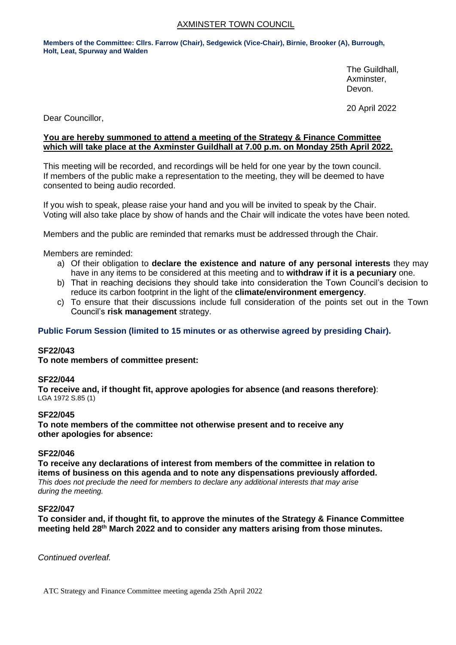## AXMINSTER TOWN COUNCIL

**Members of the Committee: Cllrs. Farrow (Chair), Sedgewick (Vice-Chair), Birnie, Brooker (A), Burrough, Holt, Leat, Spurway and Walden**

> The Guildhall, Axminster, Devon.

20 April 2022

Dear Councillor,

## **You are hereby summoned to attend a meeting of the Strategy & Finance Committee which will take place at the Axminster Guildhall at 7.00 p.m. on Monday 25th April 2022.**

This meeting will be recorded, and recordings will be held for one year by the town council. If members of the public make a representation to the meeting, they will be deemed to have consented to being audio recorded.

If you wish to speak, please raise your hand and you will be invited to speak by the Chair. Voting will also take place by show of hands and the Chair will indicate the votes have been noted.

Members and the public are reminded that remarks must be addressed through the Chair.

Members are reminded:

- a) Of their obligation to **declare the existence and nature of any personal interests** they may have in any items to be considered at this meeting and to **withdraw if it is a pecuniary** one.
- b) That in reaching decisions they should take into consideration the Town Council's decision to reduce its carbon footprint in the light of the **climate/environment emergency**.
- c) To ensure that their discussions include full consideration of the points set out in the Town Council's **risk management** strategy.

## **Public Forum Session (limited to 15 minutes or as otherwise agreed by presiding Chair).**

#### **SF22/043**

**To note members of committee present:**

#### **SF22/044**

**To receive and, if thought fit, approve apologies for absence (and reasons therefore)**: LGA 1972 S.85 (1)

#### **SF22/045**

**To note members of the committee not otherwise present and to receive any other apologies for absence:**

#### **SF22/046**

**To receive any declarations of interest from members of the committee in relation to items of business on this agenda and to note any dispensations previously afforded.**  *This does not preclude the need for members to declare any additional interests that may arise during the meeting.*

#### **SF22/047**

**To consider and, if thought fit, to approve the minutes of the Strategy & Finance Committee meeting held 28th March 2022 and to consider any matters arising from those minutes.**

*Continued overleaf.*

ATC Strategy and Finance Committee meeting agenda 25th April 2022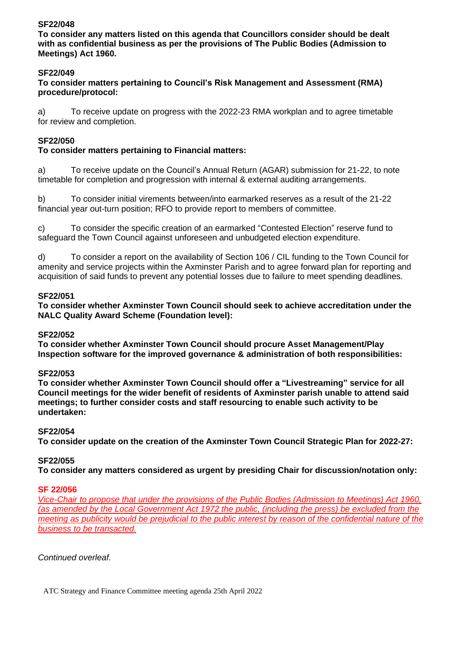# **SF22/048**

**To consider any matters listed on this agenda that Councillors consider should be dealt with as confidential business as per the provisions of The Public Bodies (Admission to Meetings) Act 1960.**

# **SF22/049**

## **To consider matters pertaining to Council's Risk Management and Assessment (RMA) procedure/protocol:**

a) To receive update on progress with the 2022-23 RMA workplan and to agree timetable for review and completion.

## **SF22/050**

# **To consider matters pertaining to Financial matters:**

a) To receive update on the Council's Annual Return (AGAR) submission for 21-22, to note timetable for completion and progression with internal & external auditing arrangements.

b) To consider initial virements between/into earmarked reserves as a result of the 21-22 financial year out-turn position; RFO to provide report to members of committee.

c) To consider the specific creation of an earmarked "Contested Election" reserve fund to safeguard the Town Council against unforeseen and unbudgeted election expenditure.

d) To consider a report on the availability of Section 106 / CIL funding to the Town Council for amenity and service projects within the Axminster Parish and to agree forward plan for reporting and acquisition of said funds to prevent any potential losses due to failure to meet spending deadlines.

## **SF22/051**

**To consider whether Axminster Town Council should seek to achieve accreditation under the NALC Quality Award Scheme (Foundation level):**

## **SF22/052**

**To consider whether Axminster Town Council should procure Asset Management/Play Inspection software for the improved governance & administration of both responsibilities:**

## **SF22/053**

**To consider whether Axminster Town Council should offer a "Livestreaming" service for all Council meetings for the wider benefit of residents of Axminster parish unable to attend said meetings; to further consider costs and staff resourcing to enable such activity to be undertaken:**

## **SF22/054**

**To consider update on the creation of the Axminster Town Council Strategic Plan for 2022-27:**

## **SF22/055**

**To consider any matters considered as urgent by presiding Chair for discussion/notation only:**

#### **SF 22/056**

*Vice-Chair to propose that under the provisions of the Public Bodies (Admission to Meetings) Act 1960, (as amended by the Local Government Act 1972 the public, (including the press) be excluded from the meeting as publicity would be prejudicial to the public interest by reason of the confidential nature of the business to be transacted.*

*Continued overleaf.*

ATC Strategy and Finance Committee meeting agenda 25th April 2022